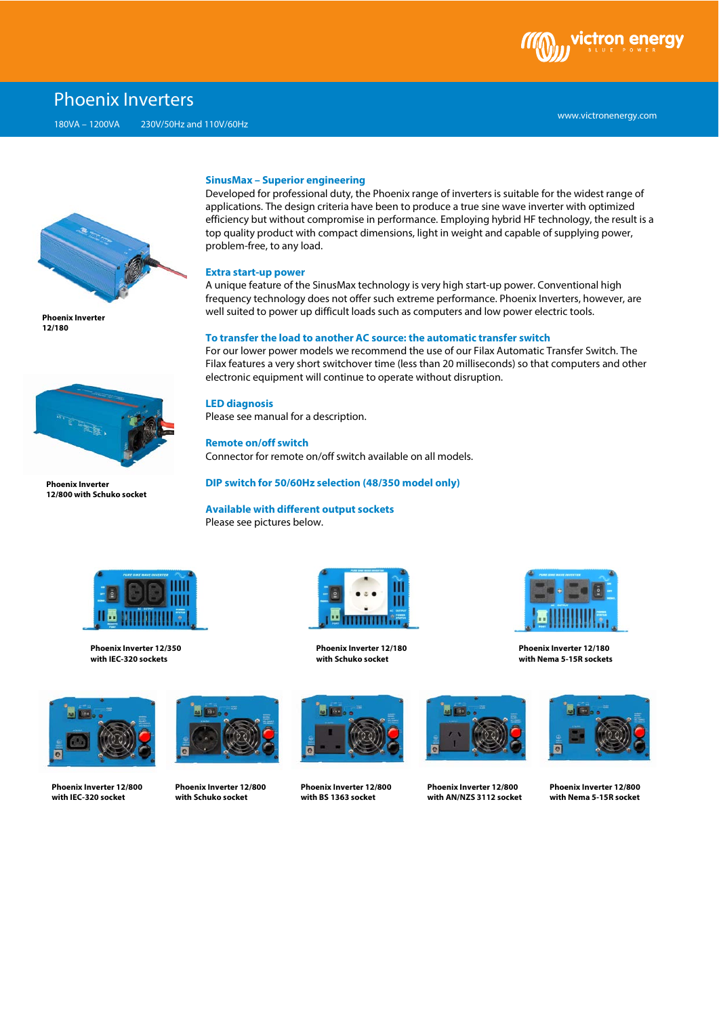

# Phoenix Inverters

180VA – 1200VA 230V/50Hz and 110V/60Hz



**Phoenix Inverter 12/180**



**Phoenix Inverter 12/800 with Schuko socket**

#### **SinusMax – Superior engineering**

Developed for professional duty, the Phoenix range of inverters is suitable for the widest range of applications. The design criteria have been to produce a true sine wave inverter with optimized efficiency but without compromise in performance. Employing hybrid HF technology, the result is a top quality product with compact dimensions, light in weight and capable of supplying power, problem-free, to any load.

#### **Extra start-up power**

A unique feature of the SinusMax technology is very high start-up power. Conventional high frequency technology does not offer such extreme performance. Phoenix Inverters, however, are well suited to power up difficult loads such as computers and low power electric tools.

#### **To transfer the load to another AC source: the automatic transfer switch**

For our lower power models we recommend the use of our Filax Automatic Transfer Switch. The Filax features a very short switchover time (less than 20 milliseconds) so that computers and other electronic equipment will continue to operate without disruption.

**LED diagnosis**

Please see manual for a description.

**Remote on/off switch** Connector for remote on/off switch available on all models.

## **DIP switch for 50/60Hz selection (48/350 model only)**

**Available with different output sockets** Please see pictures below.



**Phoenix Inverter 12/350 with IEC-320 sockets**



**Phoenix Inverter 12/180 with Schuko socket**



**Phoenix Inverter 12/180 with Nema 5-15R sockets**



**Phoenix Inverter 12/800 with IEC-320 socket**



**Phoenix Inverter 12/800 with Schuko socket**



**Phoenix Inverter 12/800 with BS 1363 socket**



**Phoenix Inverter 12/800 with AN/NZS 3112 socket**



**Phoenix Inverter 12/800 with Nema 5-15R socket**